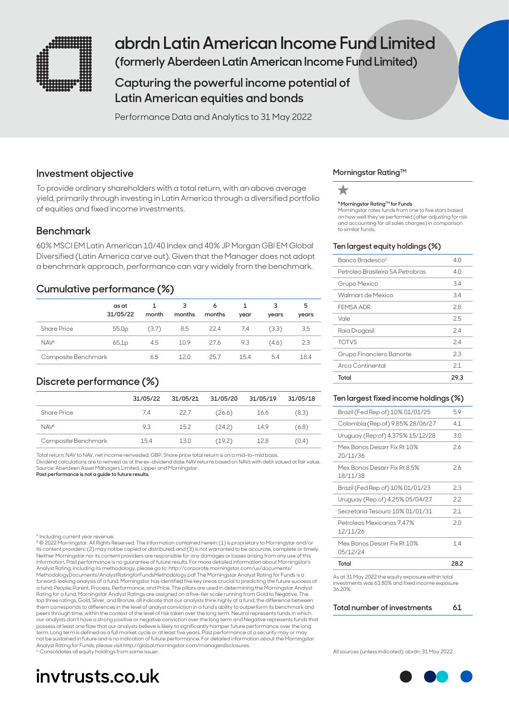

# **abrdn Latin American Income Fund Limited**

**(formerly Aberdeen Latin American Income Fund Limited)**

# **Capturing the powerful income potential of Latin American equities and bonds**

Performance Data and Analytics to 31 May 2022

### **Investment objective**

To provide ordinary shareholders with a total return, with an above average yield, primarily through investing in Latin America through a diversified portfolio of equities and fixed income investments.

# **Benchmark**

60% MSCI EM Latin American 10/40 Index and 40% JP Morgan GBI EM Global Diversified (Latin America carve out). Given that the Manager does not adopt a benchmark approach, performance can vary widely from the benchmark.

# **Cumulative performance (%)**

|                     | as at<br>31/05/22 | month | 3<br>months | 6<br>months | year | 3<br>years | 5<br>years |
|---------------------|-------------------|-------|-------------|-------------|------|------------|------------|
| <b>Share Price</b>  | 55.0 <sub>p</sub> | (3.7) | 8.5         | 22.4        | -7.4 | (3.3)      | 3.5        |
| NAV <sup>A</sup>    | 65.1p             | 4.5   | 10.9        | 27.6        | 9.3  | (4.6)      | 2.3        |
| Composite Benchmark |                   | 6.5   | 12 N        | 257         | 154  | 5.4        | 18.4       |

# **Discrete performance (%)**

|                     | 31/05/22 | 31/05/21 | 31/05/20 | 31/05/19 | 31/05/18 |
|---------------------|----------|----------|----------|----------|----------|
| <b>Share Price</b>  | 7.4      | 22.7     | (26.6)   | 16.6     | (8.3)    |
| NAV <sup>A</sup>    | 9.3      | 15.2     | (24.2)   | 14.9     | (6.8)    |
| Composite Benchmark | 15.4     | 13.0     | (19.2)   | 12.8     | (0.4)    |
|                     |          |          |          |          |          |

Total return; NAV to NAV, net income reinvested, GBP. Share price total return is on a mid-to-mid basis.

Dividend calculations are to reinvest as at the ex-dividend date. NAV returns based on NAVs with debt valued at fair value. Source: Aberdeen Asset Managers Limited, Lipper and Morningstar.

**Past performance is not a guide to future results.**

#### ncluding current year revenue

B © 2022 Morningstar. All Rights Reserved. The information contained herein: (1) is proprietary to Morningstar and/or its content providers; (2) may not be copied or distributed; and (3) is not warranted to be accurate, complete or timely. Neither Morningstar nor its content providers are responsible for any damages or losses arising from any use of this information. Past performance is no guarantee of future results. For more detailed information about Morningstar's Analyst Rating, including its methodology, please go to: http://corporate.morningstar.com/us/documents/ MethodologyDocuments/AnalystRatingforFundsMethodology.pdf The Morningstar Analyst Rating for Funds is a forward-looking analysis of a fund. Morningstar has identified five key areas crucial to predicting the future success of<br>a fund: People, Parent, Process, Performance, and Price. The pillars are used in determining the Mor Rating for a fund. Morningstar Analyst Ratings are assigned on a five-tier scale running from Gold to Negative. The top three ratings, Gold, Silver, and Bronze, all indicate that our analysts think highly of a fund; the difference between<br>them corresponds to differences in the level of analyst conviction in a fund's ability to outperfor peers through time, within the context of the level of risk taken over the long term. Neutral represents funds in which our analysts don't have a strong positive or negative conviction over the long term and Negative represents funds that<br>possess at least one flaw that our analysts believe is likely to significantly hamper future performanc term. Long term is defined as a full market cycle or at least five years. Past performance of a security may or may not be sustained in future and is no indication of future performance. For detailed information about the Morningstar Analyst Rating for Funds, please visit http://global.morningstar.com/managerdisclosures. <sup>c</sup> Consolidates all equity holdings from same issuer

# **invtrusts.co.uk**

### **Morningstar RatingTM**

#### **B Morningstar Rating™ for Funds**

Morningstar rates funds from one to five stars based on how well they've performed (after adjusting for risk and accounting for all sales charges) in comparison to similar funds.

#### **Ten largest equity holdings (%)**

| Banco Bradesco <sup>c</sup>      | 4.0  |
|----------------------------------|------|
| Petroleo Brasileiro SA Petrobras | 4 N  |
| Grupo Mexico                     | 3.4  |
| Walmart de Mexico                | 34   |
| FEMSA ADR                        | 28   |
| Vale                             | 25   |
| Raia Drogasil                    | 24   |
| <b>TOTVS</b>                     | 24   |
| Grupo Financiero Banorte         | 2.3  |
| Arca Continental                 | 21   |
| Total                            | 29.3 |

#### **Ten largest fixed income holdings (%)**

| Total                                    | 28.2 |
|------------------------------------------|------|
| Mex Bonos Desarr Fix Rt 10%<br>05/12/24  | 14   |
| Petroleos Mexicanos 7.47%<br>12/11/26    | 20   |
| Secretaria Tesouro 10% 01/01/31          | 2.1  |
| Uruguay (Rep of) 4.25% 05/04/27          | 22   |
| Brazil (Fed Rep of) 10% 01/01/23         | 2.3  |
| Mex Bonos Desarr Fix Rt 8.5%<br>18/11/38 | 2.6  |
| Mex Bonos Desarr Fix Rt 10%<br>20/11/36  | 2.6  |
| Uruguay (Rep of) 4.375% 15/12/28         | 3.0  |
| Colombia (Rep of) 9.85% 28/06/27         | 4.1  |
| Brazil (Fed Rep of) 10% 01/01/25         | 5.9  |

As at 31 May 2022 the equity exposure within total investments was 63.80% and fixed income exposure 36.20%.

#### **Total number of investments 61**

All sources (unless indicated): abrdn: 31 May 2022.

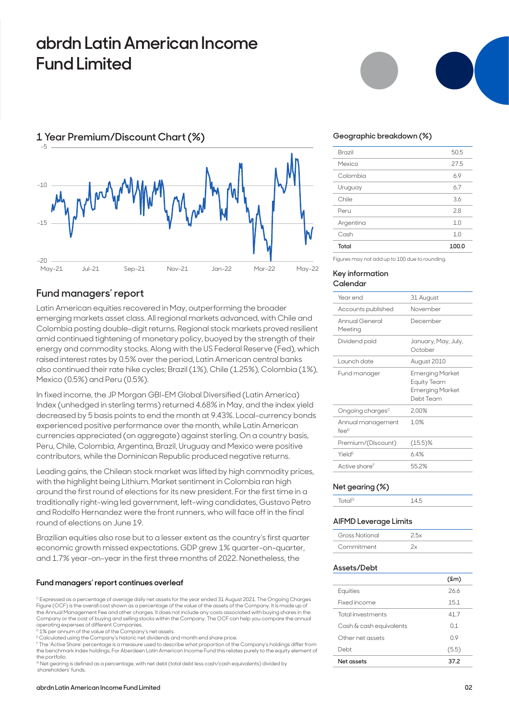# **abrdn Latin American Income Fund Limited**



### **Fund managers' report**

Latin American equities recovered in May, outperforming the broader emerging markets asset class. All regional markets advanced, with Chile and Colombia posting double-digit returns. Regional stock markets proved resilient amid continued tightening of monetary policy, buoyed by the strength of their energy and commodity stocks. Along with the US Federal Reserve (Fed), which raised interest rates by 0.5% over the period, Latin American central banks also continued their rate hike cycles; Brazil (1%), Chile (1.25%), Colombia (1%), Mexico (0.5%) and Peru (0.5%).

In fixed income, the JP Morgan GBI-EM Global Diversified (Latin America) Index (unhedged in sterling terms) returned 4.68% in May, and the index yield decreased by 5 basis points to end the month at 9.43%. Local-currency bonds experienced positive performance over the month, while Latin American currencies appreciated (on aggregate) against sterling. On a country basis, Peru, Chile, Colombia, Argentina, Brazil, Uruguay and Mexico were positive contributors, while the Dominican Republic produced negative returns.

Leading gains, the Chilean stock market was lifted by high commodity prices, with the highlight being Lithium. Market sentiment in Colombia ran high around the first round of elections for its new president. For the first time in a traditionally right-wing led government, left-wing candidates, Gustavo Petro and Rodolfo Hernandez were the front runners, who will face off in the final round of elections on June 19.

Brazilian equities also rose but to a lesser extent as the country's first quarter economic growth missed expectations. GDP grew 1% quarter-on-quarter, and 1.7% year-on-year in the first three months of 2022. Nonetheless, the

### **Fund managers' report continues overleaf**

 $^\circ$  Expressed as a percentage of average daily net assets for the year ended 31 August 2021. The Ongoing Charges Figure (OCF) is the overall cost shown as a percentage of the value of the assets of the Company. It is made up of the Annual Management Fee and other charges. It does not include any costs associated with buying shares in the Company or the cost of buying and selling stocks within the Company. The OCF can help you compare the annual operating expenses of different Companies.

<sup>D</sup> 1% per annum of the value of the Company's net assets.

E Calculated using the Company's historic net dividends and month end share price.

F The 'Active Share' percentage is a measure used to describe what proportion of the Company's holdings differ from the benchmark index holdings. For Aberdeen Latin American Income Fund this relates purely to the equity element of the portfolio.

G Net gearing is defined as a percentage, with net debt (total debt less cash/cash equivalents) divided by shareholders' funds.



#### **Geographic breakdown (%)**

| Total     | 100.0 |
|-----------|-------|
| Cash      | 1.0   |
| Argentina | 1.0   |
| Peru      | 2.8   |
| Chile     | 3.6   |
| Uruguay   | 6.7   |
| Colombia  | 6.9   |
| Mexico    | 27.5  |
| Brazil    | 50.5  |
|           |       |

Figures may not add up to 100 due to rounding.

#### **Key information Calendar**

| Year end                                  | 31 August                                                             |
|-------------------------------------------|-----------------------------------------------------------------------|
| Accounts published                        | November                                                              |
| Annual General<br>Meeting                 | December                                                              |
| Dividend paid                             | January, May, July,<br>October                                        |
| Launch date                               | August 2010                                                           |
| Fund manager                              | Emerging Market<br>Equity Team<br><b>Emerging Market</b><br>Debt Team |
| Ongoing charges <sup>c</sup>              | 200%                                                                  |
| Annual management<br>$f \in \mathbb{R}^D$ | 10%                                                                   |
| Premium/(Discount)                        | $(15.5)\%$                                                            |
| Yield <sup>E</sup>                        | 64%                                                                   |
| Active share <sup>F</sup>                 | 552%                                                                  |

#### **Net gearing (%)**

| <b>Contract Contract</b> |  |
|--------------------------|--|
|                          |  |

#### **AIFMD Leverage Limits**

| Gross Notional |  |
|----------------|--|
| Commitment     |  |

#### **Assets/Debt**

|                          | $(\text{fm})$ |
|--------------------------|---------------|
| Equities                 | 266           |
| Fixed income             | 15.1          |
| <b>Total investments</b> | 41.7          |
| Cash & cash equivalents  | O 1           |
| Other net assets         | 09            |
| Debt                     | (5.5)         |
| Net assets               | 37.2          |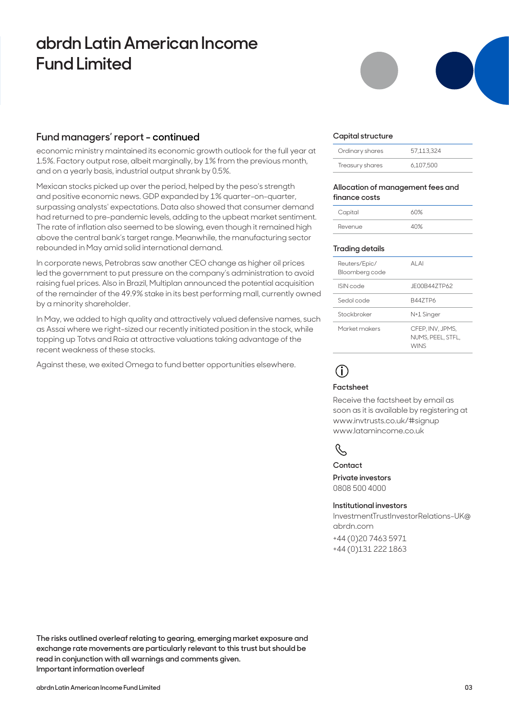# **abrdn Latin American Income Fund Limited**

### **Fund managers' report - continued**

economic ministry maintained its economic growth outlook for the full year at 1.5%. Factory output rose, albeit marginally, by 1% from the previous month, and on a yearly basis, industrial output shrank by 0.5%.

Mexican stocks picked up over the period, helped by the peso's strength and positive economic news. GDP expanded by 1% quarter-on-quarter, surpassing analysts' expectations. Data also showed that consumer demand had returned to pre-pandemic levels, adding to the upbeat market sentiment. The rate of inflation also seemed to be slowing, even though it remained high above the central bank's target range. Meanwhile, the manufacturing sector rebounded in May amid solid international demand.

In corporate news, Petrobras saw another CEO change as higher oil prices led the government to put pressure on the company's administration to avoid raising fuel prices. Also in Brazil, Multiplan announced the potential acquisition of the remainder of the 49.9% stake in its best performing mall, currently owned by a minority shareholder.

In May, we added to high quality and attractively valued defensive names, such as Assai where we right-sized our recently initiated position in the stock, while topping up Totvs and Raia at attractive valuations taking advantage of the recent weakness of these stocks.

Against these, we exited Omega to fund better opportunities elsewhere.

#### **Capital structure**

| Ordinary shares | 57.113.324 |
|-----------------|------------|
| Treasury shares | 6.107.500  |

#### **Allocation of management fees and finance costs**

| Capital | 60% |
|---------|-----|
| Revenue | 40% |

#### **Trading details**

| AI AI                                                |
|------------------------------------------------------|
| JE00B447TP62                                         |
| <b>B447TP6</b>                                       |
| N+1 Singer                                           |
| CFEP, INV, JPMS,<br>NUMS, PEEL, STFL,<br><b>WINS</b> |
|                                                      |

# **i**

### **Factsheet**

Receive the factsheet by email as soon as it is available by registering at www.invtrusts.co.uk/#signup www.latamincome.co.uk



#### **Contact**

**Private investors**  0808 500 4000

#### **Institutional investors**

InvestmentTrustInvestorRelations-UK@ abrdn.com

+44 (0)20 7463 5971 +44 (0)131 222 1863

**The risks outlined overleaf relating to gearing, emerging market exposure and exchange rate movements are particularly relevant to this trust but should be read in conjunction with all warnings and comments given. Important information overleaf**